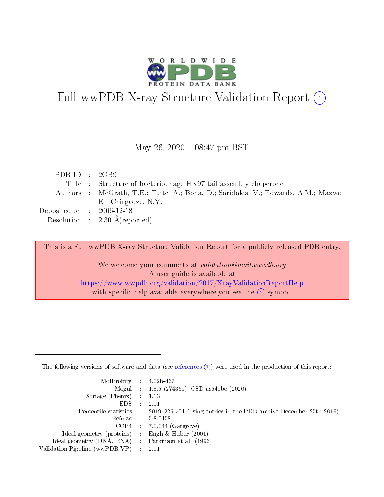

# Full wwPDB X-ray Structure Validation Report (i)

#### May 26,  $2020 - 08:47$  pm BST

| PDB ID : $2OB9$                |                                                                                      |
|--------------------------------|--------------------------------------------------------------------------------------|
|                                | Title : Structure of bacteriophage HK97 tail assembly chaperone                      |
|                                | Authors : McGrath, T.E.; Tuite, A.; Bona, D.; Saridakis, V.; Edwards, A.M.; Maxwell, |
|                                | K.; Chirgadze, N.Y.                                                                  |
| Deposited on $\;$ : 2006-12-18 |                                                                                      |
|                                | Resolution : $2.30 \text{ Å}$ (reported)                                             |

This is a Full wwPDB X-ray Structure Validation Report for a publicly released PDB entry.

We welcome your comments at validation@mail.wwpdb.org A user guide is available at <https://www.wwpdb.org/validation/2017/XrayValidationReportHelp> with specific help available everywhere you see the  $(i)$  symbol.

The following versions of software and data (see [references](https://www.wwpdb.org/validation/2017/XrayValidationReportHelp#references)  $(1)$ ) were used in the production of this report:

| $MolProbability$ : 4.02b-467                      |                              |                                                                                            |
|---------------------------------------------------|------------------------------|--------------------------------------------------------------------------------------------|
|                                                   |                              | Mogul : $1.8.5$ (274361), CSD as 541be (2020)                                              |
| Xtriage (Phenix) $: 1.13$                         |                              |                                                                                            |
| EDS –                                             | $\sim$                       | -2.11                                                                                      |
|                                                   |                              | Percentile statistics : 20191225.v01 (using entries in the PDB archive December 25th 2019) |
| Refmac : 5.8.0158                                 |                              |                                                                                            |
| CCP4                                              |                              | $7.0.044$ (Gargrove)                                                                       |
| Ideal geometry (proteins)                         | $\mathcal{L}_{\mathrm{eff}}$ | Engh & Huber $(2001)$                                                                      |
| Ideal geometry (DNA, RNA) Parkinson et al. (1996) |                              |                                                                                            |
| Validation Pipeline (wwPDB-VP) : 2.11             |                              |                                                                                            |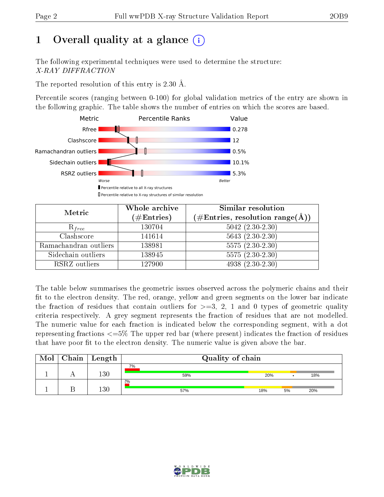## 1 [O](https://www.wwpdb.org/validation/2017/XrayValidationReportHelp#overall_quality)verall quality at a glance  $(i)$

The following experimental techniques were used to determine the structure: X-RAY DIFFRACTION

The reported resolution of this entry is 2.30 Å.

Percentile scores (ranging between 0-100) for global validation metrics of the entry are shown in the following graphic. The table shows the number of entries on which the scores are based.



| Metric                | Whole archive<br>$(\#\mathrm{Entries})$ | Similar resolution<br>$(\#\text{Entries},\, \text{resolution}\; \text{range}(\textup{\AA}))$ |  |  |
|-----------------------|-----------------------------------------|----------------------------------------------------------------------------------------------|--|--|
| $R_{free}$            | 130704                                  | $5042$ $(2.30-2.30)$                                                                         |  |  |
| Clashscore            | 141614                                  | $5643(2.30-2.30)$                                                                            |  |  |
| Ramachandran outliers | 138981                                  | $5575(2.30-2.30)$                                                                            |  |  |
| Sidechain outliers    | 138945                                  | $5575(2.30-2.30)$                                                                            |  |  |
| RSRZ outliers         | 127900                                  | $4938(2.30-2.30)$                                                                            |  |  |

The table below summarises the geometric issues observed across the polymeric chains and their fit to the electron density. The red, orange, yellow and green segments on the lower bar indicate the fraction of residues that contain outliers for  $>=3, 2, 1$  and 0 types of geometric quality criteria respectively. A grey segment represents the fraction of residues that are not modelled. The numeric value for each fraction is indicated below the corresponding segment, with a dot representing fractions  $\epsilon=5\%$  The upper red bar (where present) indicates the fraction of residues that have poor fit to the electron density. The numeric value is given above the bar.

| Mol | Chain   Length | Quality of chain |     |    |     |  |  |
|-----|----------------|------------------|-----|----|-----|--|--|
|     | 130            | 7%<br>59%        | 20% |    | 18% |  |  |
|     | $130\,$        | 2%<br>57%        | 18% | 5% | 20% |  |  |

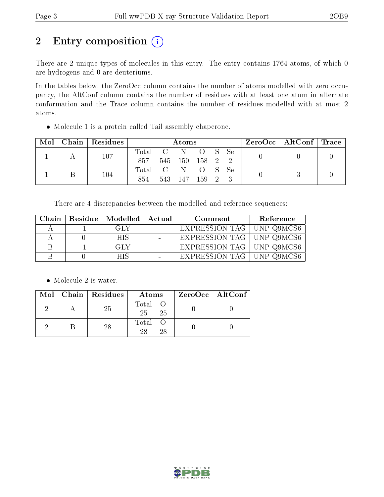## 2 Entry composition (i)

There are 2 unique types of molecules in this entry. The entry contains 1764 atoms, of which 0 are hydrogens and 0 are deuteriums.

In the tables below, the ZeroOcc column contains the number of atoms modelled with zero occupancy, the AltConf column contains the number of residues with at least one atom in alternate conformation and the Trace column contains the number of residues modelled with at most 2 atoms.

Molecule 1 is a protein called Tail assembly chaperone.

| Mol | Chain   Residues | Atoms            |     |                 |                 |  | $ZeroOcc \mid AltConf \mid Trace$ |  |  |
|-----|------------------|------------------|-----|-----------------|-----------------|--|-----------------------------------|--|--|
|     | 107              | Total C N<br>857 |     | 545 150 158 2 2 | OS Se           |  |                                   |  |  |
|     | 104              | Total C N<br>854 | 543 | 147             | O S Se<br>159 2 |  |                                   |  |  |

There are 4 discrepancies between the modelled and reference sequences:

| Chain |      | Residue   Modelled | Actual         | Comment                     | Reference |
|-------|------|--------------------|----------------|-----------------------------|-----------|
|       | $-1$ | GLY                |                | EXPRESSION TAG   UNP Q9MCS6 |           |
|       |      | <b>HIS</b>         | $\blacksquare$ | EXPRESSION TAG   UNP Q9MCS6 |           |
|       | $-1$ | GLY                | $\blacksquare$ | EXPRESSION TAG   UNP Q9MCS6 |           |
|       |      | <b>HIS</b>         |                | EXPRESSION TAG   UNP Q9MCS6 |           |

• Molecule 2 is water.

|  | $Mol$   Chain   Residues | Atoms                | ZeroOcc   AltConf |
|--|--------------------------|----------------------|-------------------|
|  | -25                      | Total O<br>25<br>-25 |                   |
|  | 28                       | Total O<br>28<br>28  |                   |

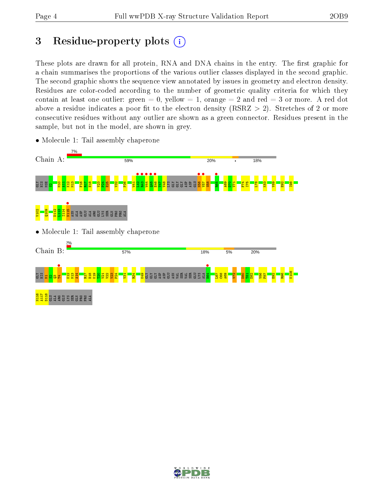## 3 Residue-property plots  $(i)$

These plots are drawn for all protein, RNA and DNA chains in the entry. The first graphic for a chain summarises the proportions of the various outlier classes displayed in the second graphic. The second graphic shows the sequence view annotated by issues in geometry and electron density. Residues are color-coded according to the number of geometric quality criteria for which they contain at least one outlier: green  $= 0$ , yellow  $= 1$ , orange  $= 2$  and red  $= 3$  or more. A red dot above a residue indicates a poor fit to the electron density (RSRZ  $> 2$ ). Stretches of 2 or more consecutive residues without any outlier are shown as a green connector. Residues present in the sample, but not in the model, are shown in grey.



• Molecule 1: Tail assembly chaperone

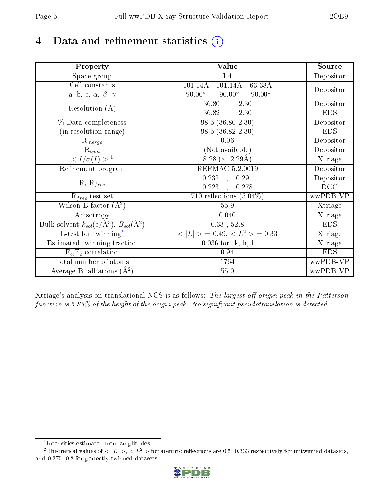## 4 Data and refinement statistics  $(i)$

| Property                                                   | Value                                              | Source     |
|------------------------------------------------------------|----------------------------------------------------|------------|
| Space group                                                | 14                                                 | Depositor  |
| Cell constants                                             | $101.14\text{\AA}$<br>63.38Å<br>$101.14\text{\AA}$ |            |
| a, b, c, $\alpha$ , $\beta$ , $\gamma$                     | $90.00^\circ$<br>$90.00^\circ$<br>$90.00^\circ$    | Depositor  |
| Resolution $(A)$                                           | 36.80<br>$-2.30$                                   | Depositor  |
|                                                            | 36.82<br>$-2.30$                                   | <b>EDS</b> |
| % Data completeness                                        | $98.5(36.80-2.30)$                                 | Depositor  |
| (in resolution range)                                      | 98.5 (36.82-2.30)                                  | <b>EDS</b> |
| $R_{merge}$                                                | 0.06                                               | Depositor  |
| $\mathrm{R}_{sym}$                                         | (Not available)                                    | Depositor  |
| $\sqrt{I/\sigma}(I) > 1$                                   | $8.28$ (at 2.29Å)                                  | Xtriage    |
| Refinement program                                         | REFMAC 5.2.0019                                    | Depositor  |
|                                                            | $\overline{0.232}$ ,<br>0.291                      | Depositor  |
| $R, R_{free}$                                              | 0.223<br>0.278                                     | DCC        |
| $R_{free}$ test set                                        | 710 reflections $(5.04\%)$                         | wwPDB-VP   |
| Wilson B-factor $(A^2)$                                    | 55.9                                               | Xtriage    |
| Anisotropy                                                 | 0.040                                              | Xtriage    |
| Bulk solvent $k_{sol}$ (e/Å <sup>3</sup> ), $B_{sol}(A^2)$ | $0.33$ , $52.8$                                    | <b>EDS</b> |
| $\overline{L-test for}$ twinning <sup>2</sup>              | $< L >$ = 0.49, $< L2$ = 0.33                      | Xtriage    |
| Estimated twinning fraction                                | $0.036$ for $-k,-h,-l$                             | Xtriage    |
| $F_o, F_c$ correlation                                     | 0.94                                               | <b>EDS</b> |
| Total number of atoms                                      | 1764                                               | wwPDB-VP   |
| Average B, all atoms $(A^2)$                               | 55.0                                               | wwPDB-VP   |

Xtriage's analysis on translational NCS is as follows: The largest off-origin peak in the Patterson function is  $5.85\%$  of the height of the origin peak. No significant pseudotranslation is detected.

<sup>&</sup>lt;sup>2</sup>Theoretical values of  $\langle |L| \rangle$ ,  $\langle L^2 \rangle$  for acentric reflections are 0.5, 0.333 respectively for untwinned datasets, and 0.375, 0.2 for perfectly twinned datasets.



<span id="page-4-1"></span><span id="page-4-0"></span><sup>1</sup> Intensities estimated from amplitudes.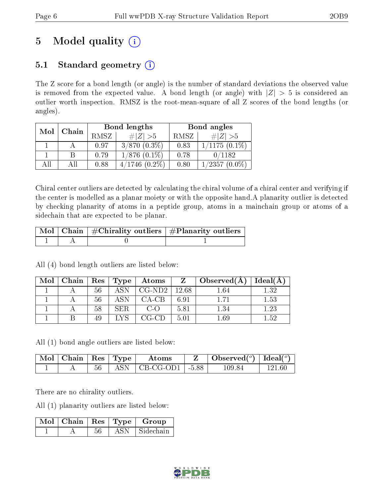## 5 Model quality  $(i)$

### 5.1 Standard geometry  $(i)$

The Z score for a bond length (or angle) is the number of standard deviations the observed value is removed from the expected value. A bond length (or angle) with  $|Z| > 5$  is considered an outlier worth inspection. RMSZ is the root-mean-square of all Z scores of the bond lengths (or angles).

| Mol | Chain |      | Bond lengths      | Bond angles |                     |  |
|-----|-------|------|-------------------|-------------|---------------------|--|
|     |       | RMSZ | $\# Z  > 5$       | RMSZ        | # $ Z  > 5$         |  |
|     |       | 0.97 | $3/870$ $(0.3\%)$ | 0.83        | $1/1175(0.1\%)$     |  |
|     |       | 0.79 | $1/876$ $(0.1\%)$ | 0.78        | 0/1182              |  |
| All |       | 0.88 | 1746<br>$(0.2\%)$ | 0.80        | 1/2357<br>$(0.0\%)$ |  |

Chiral center outliers are detected by calculating the chiral volume of a chiral center and verifying if the center is modelled as a planar moiety or with the opposite hand.A planarity outlier is detected by checking planarity of atoms in a peptide group, atoms in a mainchain group or atoms of a sidechain that are expected to be planar.

|  | $\sqrt{\text{Mol}}$ Chain $\frac{1}{2}$ Chirality outliers $\frac{1}{2}$ Planarity outliers $\frac{1}{2}$ |
|--|-----------------------------------------------------------------------------------------------------------|
|  |                                                                                                           |

All (4) bond length outliers are listed below:

| Mol | Chain |    | $\pm$ Res $\pm$ Type $^+$ | Atoms    |       | $\Delta$ Observed(A) | Ideal(A) |
|-----|-------|----|---------------------------|----------|-------|----------------------|----------|
|     |       | 56 |                           | $CG-ND2$ | 12.68 |                      | 1.32     |
|     |       | 56 |                           | CA-CB    | 6.91  | 1 71                 | $1.53\,$ |
|     |       | 58 | SER                       | C-O      | 5.81  | 1.34                 | .23      |
|     |       | 49 |                           | CG-CD    | 5.01  | $\lfloor .69$        | 1.52     |

All (1) bond angle outliers are listed below:

| Mol   Chain |        | $\vert$ Res $\vert$ Type | Atoms                             | $\sqrt{\text{Observed}(\text{°})}$   Ideal( $\degree$ ) |  |
|-------------|--------|--------------------------|-----------------------------------|---------------------------------------------------------|--|
|             | $56\,$ |                          | ASN $\mid$ CB-CG-OD1 $\mid$ -5.88 | 109.84                                                  |  |

There are no chirality outliers.

All (1) planarity outliers are listed below:

|  |    |       | $\mid$ Mol $\mid$ Chain $\mid$ Res $\mid$ Type $\mid$ Group |
|--|----|-------|-------------------------------------------------------------|
|  | 56 | ASN - | ∣ Sidechain–                                                |

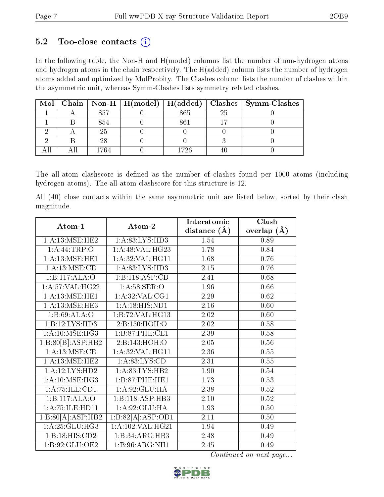### $5.2$  Too-close contacts  $(i)$

In the following table, the Non-H and H(model) columns list the number of non-hydrogen atoms and hydrogen atoms in the chain respectively. The H(added) column lists the number of hydrogen atoms added and optimized by MolProbity. The Clashes column lists the number of clashes within the asymmetric unit, whereas Symm-Clashes lists symmetry related clashes.

|  |      |      |    | Mol   Chain   Non-H   H(model)   H(added)   Clashes   Symm-Clashes |
|--|------|------|----|--------------------------------------------------------------------|
|  | 857  | 865  | 25 |                                                                    |
|  | 854  | 861  |    |                                                                    |
|  | 25   |      |    |                                                                    |
|  | 28   |      |    |                                                                    |
|  | -764 | 1726 |    |                                                                    |

The all-atom clashscore is defined as the number of clashes found per 1000 atoms (including hydrogen atoms). The all-atom clashscore for this structure is 12.

All (40) close contacts within the same asymmetric unit are listed below, sorted by their clash magnitude.

| Atom-1                              | Atom-2                         | Interatomic       | Clash             |
|-------------------------------------|--------------------------------|-------------------|-------------------|
|                                     |                                | distance $(\AA)$  | overlap $(A)$     |
| 1: A:13: MSE: HE2                   | 1: A:83:LYS:HD3                | 1.54              | 0.89              |
| 1:A:44:TRP:O                        | 1:A:48:VAL:HG23                | 1.78              | 0.84              |
| 1: A:13: MSE: HE1                   | 1: A:32: VAL:HGI1              | 1.68              | 0.76              |
| 1: A:13: MSE:CE                     | 1: A:83: LYS: HD3              | 2.15              | 0.76              |
| 1:B:117:ALA:O                       | 1:B:118:ASP:CB                 | 2.41              | 0.68              |
| 1: A:57: VAL:HG22                   | 1: A:58: SER:O                 | 1.96              | 0.66              |
| 1:A:13:MSE:HE1                      | 1: A:32: VAL:CG1               | 2.29              | 0.62              |
| 1: A:13: MSE: HE3                   | 1: A:18: HIS: ND1              | 2.16              | 0.60              |
| 1:B:69:ALA:O                        | 1:B:72:VAL:HG13                | 2.02              | 0.60              |
| 1:B:12:LYS:HD3                      | 2:B:150:HOH:O                  | 2.02              | 0.58              |
| $1: A:10:\overline{\text{MSE:HG3}}$ | 1:B:87:PHE:CE1                 | 2.39              | 0.58              |
| 1:B:80[B]:ASP:HB2                   | 2: B: 143: HOH:O               | 2.05              | $0.56\,$          |
| 1:A:13:MSE:CE                       | 1:A:32:VAL:HG11                | 2.36              | 0.55              |
| 1: A:13: MSE: HE2                   | 1: A:83: LYS:CD                | 2.31              | 0.55              |
| 1:A:12:LYS:HD2                      | 1:A:83:LYS:HB2                 | 1.90              | 0.54              |
| 1: A:10: MSE:HG3                    | 1:B:87:PHE:HE1                 | 1.73              | 0.53              |
| 1: A: 75: ILE: CD1                  | 1:A:92:GLU:HA                  | 2.38              | 0.52              |
| 1:B:117:ALA:O                       | 1:B:118:ASP:HB3                | $\overline{2.10}$ | 0.52              |
| 1:A:75:ILE:HD11                     | 1:A:92:GLU:HA                  | 1.93              | 0.50              |
| 1:B:80[A]:ASP:HB2                   | $1:B:82[A]:\overline{ASP:OD1}$ | 2.11              | $\overline{0.50}$ |
| 1: A:25: GLU:HG3                    | $1:A:102:\overline{VAL:HG21}$  | 1.94              | 0.49              |
| 1:B:18:HIS:CD2                      | 1:B:34:ARG:HB3                 | 2.48              | 0.49              |
| 1: B:92: GLU:OE2                    | 1:B:96:ARG:NH1                 | 2.45              | 0.49              |

Continued on next page...

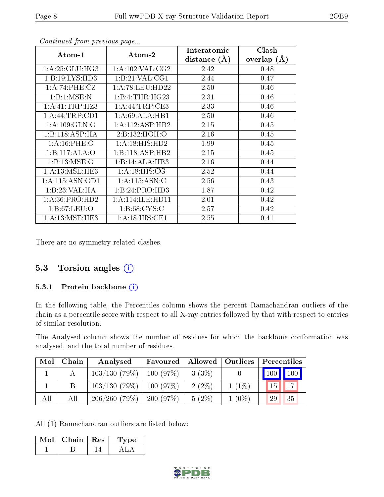| Atom-1           | Atom-2              | Interatomic<br>distance $(A)$ | Clash<br>overlap $(\AA)$ |
|------------------|---------------------|-------------------------------|--------------------------|
| 1: A:25: GLU:HG3 | 1: A: 102: VAL: CG2 | 2.42                          | 0.48                     |
| 1:B:19:LYS:HD3   | 1: B:21: VAL:CG1    | 2.44                          | 0.47                     |
| 1: A:74:PHE:CZ   | 1:A:78:LEU:HD22     | 2.50                          | 0.46                     |
| 1:B:1:MSE:N      | 1:B:4:THR:HG23      | 2.31                          | 0.46                     |
| 1:A:41:TRP:HZ3   | 1: A:44:TRP:CE3     | 2.33                          | 0.46                     |
| 1: A:44:TRP:CD1  | 1: A:69: ALA:HB1    | 2.50                          | 0.46                     |
| 1: A: 109: GLN:O | 1: A:112: ASP:HB2   | 2.15                          | 0.45                     |
| 1:B:118:ASP:HA   | 2:Bi:132:HOH:O      | 2.16                          | 0.45                     |
| 1: A:16: PHE:O   | 1:A:18:HIS:HD2      | 1.99                          | 0.45                     |
| 1:B:117:ALA:O    | 1: B:118: ASP:HB2   | 2.15                          | 0.45                     |
| 1:B:13:MSE:O     | 1:B:14:ALA:HB3      | 2.16                          | 0.44                     |
| 1: A:13: MSE:HE3 | 1: A:18: HIS: CG    | 2.52                          | 0.44                     |
| 1:A:115:ASN:OD1  | 1:A:115:ASN:C       | 2.56                          | 0.43                     |
| 1:B:23:VAL:HA    | 1:B:24:PRO:HD3      | 1.87                          | 0.42                     |
| 1: A:36: PRO:HD2 | 1: A:114: ILE: HD11 | 2.01                          | 0.42                     |
| 1: B:67: LEU:O   | 1: B:68: CYS:C      | 2.57                          | 0.42                     |
| 1: A:13: MSE:HE3 | 1:A:18:HIS:CE1      | 2.55                          | 0.41                     |

Continued from previous page...

There are no symmetry-related clashes.

#### 5.3 Torsion angles (i)

#### 5.3.1 Protein backbone (i)

In the following table, the Percentiles column shows the percent Ramachandran outliers of the chain as a percentile score with respect to all X-ray entries followed by that with respect to entries of similar resolution.

The Analysed column shows the number of residues for which the backbone conformation was analysed, and the total number of residues.

| Mol | Chain | Analysed                      | Favoured |          | Allowed   Outliers | Percentiles |           |
|-----|-------|-------------------------------|----------|----------|--------------------|-------------|-----------|
|     |       | 103/130(79%)                  | 100(97%) | $3(3\%)$ |                    | 100 100     |           |
|     |       | $103/130$ (79\%)   100 (97\%) |          | $2(2\%)$ | $1(1\%)$           | 15          | 17        |
| All | All   | $206/260$ (79\%)   200 (97\%) |          | $5(2\%)$ | $1(0\%)$           | 29          | <b>35</b> |

All (1) Ramachandran outliers are listed below:

| Mol | Chain | $\pm$ Res $\pm$ | Type |
|-----|-------|-----------------|------|
|     |       |                 |      |

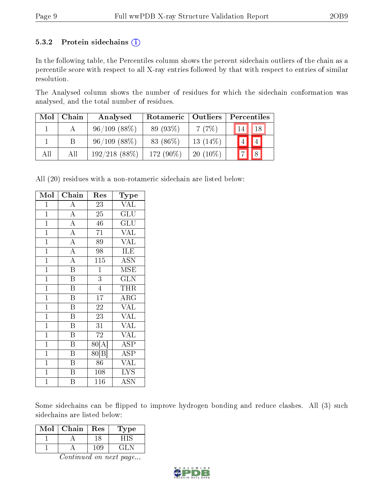#### 5.3.2 Protein sidechains  $(i)$

In the following table, the Percentiles column shows the percent sidechain outliers of the chain as a percentile score with respect to all X-ray entries followed by that with respect to entries of similar resolution.

The Analysed column shows the number of residues for which the sidechain conformation was analysed, and the total number of residues.

| Mol | Chain | Analysed          | Rotameric    | Outliers   | Percentiles |                |
|-----|-------|-------------------|--------------|------------|-------------|----------------|
|     |       | $96/109$ (88\%)   | 89 (93\%)    | 7(7%)      | 14          | 18             |
|     |       | $96/109$ $(88\%)$ | 83 (86\%)    | $13(14\%)$ | $4\vert$    | $\overline{4}$ |
| All | All   | $192/218$ (88\%)  | 172 $(90\%)$ | $20(10\%)$ |             |                |

All (20) residues with a non-rotameric sidechain are listed below:

| Mol            | $\overline{\mathrm{Chain}}$ | Res              | Type                      |
|----------------|-----------------------------|------------------|---------------------------|
| $\mathbf{1}$   | $\boldsymbol{A}$            | 23               | $\overline{\text{VAL}}$   |
| $\overline{1}$ | $\overline{A}$              | 25               | $\overline{\mathrm{GLU}}$ |
| $\mathbf{1}$   | $\overline{A}$              | 46               | GLU                       |
| $\overline{1}$ | $\overline{A}$              | $\overline{71}$  | $\overline{\text{VAL}}$   |
| $\overline{1}$ | $\overline{\rm A}$          | $\overline{89}$  | $\overline{\text{VAL}}$   |
| $\overline{1}$ | $\overline{A}$              | $\overline{98}$  | ILE                       |
| $\overline{1}$ | $\overline{A}$              | $\overline{115}$ | <b>ASN</b>                |
| $\mathbf{1}$   | $\overline{\mathrm{B}}$     | $\mathbf{1}$     | MSE                       |
| $\overline{1}$ | $\overline{\mathrm{B}}$     | $\overline{3}$   | $\widetilde{\text{GLN}}$  |
| $\overline{1}$ | $\overline{\mathrm{B}}$     | $\overline{4}$   | THR                       |
| $\mathbf 1$    | B                           | $\overline{17}$  | $\rm{ARG}$                |
| $\mathbf{1}$   | $\boldsymbol{B}$            | 22               | $\overline{\text{VAL}}$   |
| $\overline{1}$ | $\overline{\mathrm{B}}$     | 23               | $\overline{\text{VAL}}$   |
| $\overline{1}$ | $\overline{\mathrm{B}}$     | $\overline{31}$  | $\overline{\text{VAL}}$   |
| $\overline{1}$ | $\overline{\mathrm{B}}$     | $\overline{72}$  | <b>VAL</b>                |
| $\mathbf{1}$   | B                           | 80[A]            | <b>ASP</b>                |
| $\overline{1}$ | $\overline{\mathrm{B}}$     | 80[B]            | $\overline{\text{ASP}}$   |
| $\mathbf{1}$   | $\overline{B}$              | 86               | <b>VAL</b>                |
| $\overline{1}$ | $\overline{\mathrm{B}}$     | 108              | $\overline{\text{LYS}}$   |
| $\mathbf 1$    | B                           | 116              | <b>ASN</b>                |

Some sidechains can be flipped to improve hydrogen bonding and reduce clashes. All (3) such sidechains are listed below:

| Mol | Chain | Res | ype |
|-----|-------|-----|-----|
|     |       |     |     |
|     |       | -09 |     |

Continued on next page...

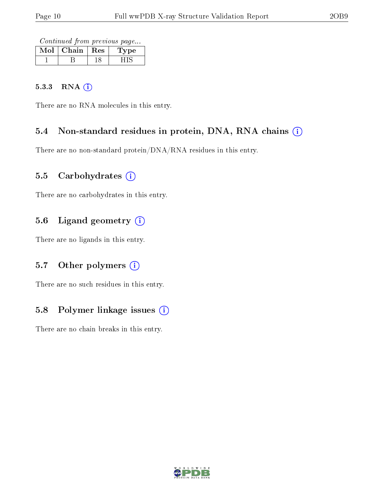Continued from previous page...

| MoL | Chain | $\operatorname{Res}% \left( \mathcal{N}\right) \equiv\operatorname{Res}(\mathcal{N}_{0})\cap\mathcal{N}_{1}$ | pе |
|-----|-------|--------------------------------------------------------------------------------------------------------------|----|
|     |       |                                                                                                              |    |

#### 5.3.3 RNA [O](https://www.wwpdb.org/validation/2017/XrayValidationReportHelp#rna)i

There are no RNA molecules in this entry.

#### 5.4 Non-standard residues in protein, DNA, RNA chains (i)

There are no non-standard protein/DNA/RNA residues in this entry.

#### 5.5 Carbohydrates  $(i)$

There are no carbohydrates in this entry.

#### 5.6 Ligand geometry (i)

There are no ligands in this entry.

#### 5.7 [O](https://www.wwpdb.org/validation/2017/XrayValidationReportHelp#nonstandard_residues_and_ligands)ther polymers (i)

There are no such residues in this entry.

#### 5.8 Polymer linkage issues  $(i)$

There are no chain breaks in this entry.

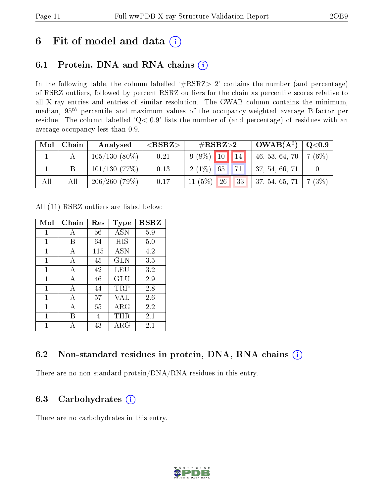## 6 Fit of model and data  $(i)$

### 6.1 Protein, DNA and RNA chains  $(i)$

In the following table, the column labelled  $#RSRZ> 2'$  contains the number (and percentage) of RSRZ outliers, followed by percent RSRZ outliers for the chain as percentile scores relative to all X-ray entries and entries of similar resolution. The OWAB column contains the minimum, median,  $95<sup>th</sup>$  percentile and maximum values of the occupancy-weighted average B-factor per residue. The column labelled ' $Q< 0.9$ ' lists the number of (and percentage) of residues with an average occupancy less than 0.9.

| $\text{Mol}$ | Chain | Analysed        | ${ <\hspace{-1.5pt}{\mathrm{RSRZ}} \hspace{-1.5pt}>}$ | $\rm \#RSRZ{>}2$   | $\boxed{\rm \,OWAB(A^2) \, \mid Q< 0.9}$   |  |
|--------------|-------|-----------------|-------------------------------------------------------|--------------------|--------------------------------------------|--|
|              |       | $105/130(80\%)$ | 0.21                                                  | $9(8\%)$ 10 14     | $\mid$ 46, 53, 64, 70 $\mid$ 7 (6%) $\mid$ |  |
|              |       | 101/130(77%)    | 0.13                                                  | 71 <br>$2(1\%)$ 65 | $\vert$ 37, 54, 66, 71                     |  |
| All          | All   | 206/260(79%)    | 0.17                                                  | $11(5\%)$ 26       | 33   37, 54, 65, 71   7 (3%)               |  |

All (11) RSRZ outliers are listed below:

| Mol         | Chain | $\operatorname{Res}% \left( \mathcal{N}\right) \equiv\operatorname{Res}(\mathcal{N}_{0},\mathcal{N}_{0})$ | Type        | <b>RSRZ</b> |
|-------------|-------|-----------------------------------------------------------------------------------------------------------|-------------|-------------|
| 1           | А     | 56                                                                                                        | <b>ASN</b>  | 5.9         |
| 1           | В     | 64                                                                                                        | HIS         | 5.0         |
| 1           | A     | 115                                                                                                       | <b>ASN</b>  | 4.2         |
| $\mathbf 1$ | А     | 45                                                                                                        | GLN         | 3.5         |
| 1           | A     | 42                                                                                                        | LEU         | 3.2         |
| 1           | А     | 46                                                                                                        | GLU         | 2.9         |
| 1           | А     | 44                                                                                                        | TRP         | 2.8         |
| 1           | А     | 57                                                                                                        | <b>VAL</b>  | 2.6         |
| 1           | А     | 65                                                                                                        | ${\rm ARG}$ | 2.2         |
| 1           | В     | 4                                                                                                         | THR         | 2.1         |
| 1           |       | 43                                                                                                        | $\rm{ARG}$  | 2.1         |

### 6.2 Non-standard residues in protein, DNA, RNA chains (i)

There are no non-standard protein/DNA/RNA residues in this entry.

### 6.3 Carbohydrates (i)

There are no carbohydrates in this entry.